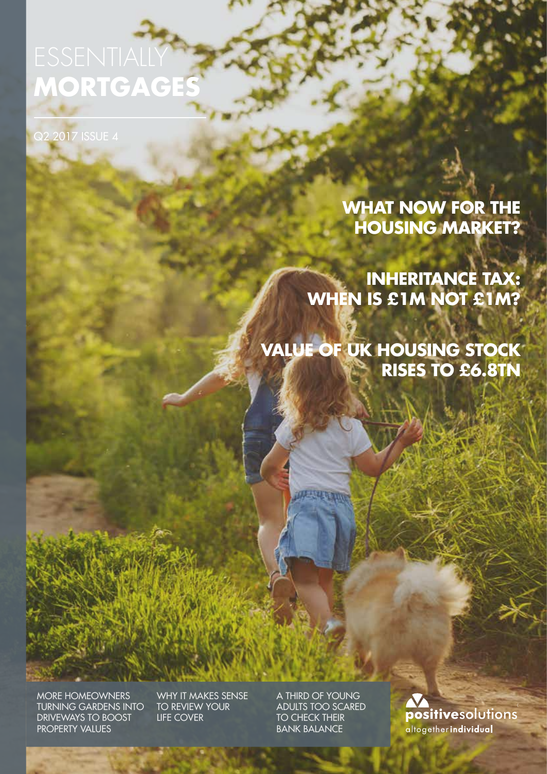# **MORTGAGES**

Q2 2017 ISSUE 4

### **WHAT NOW FOR THE HOUSING MARKET?**

**INHERITANCE TAX: WHEN IS £1M NOT £1M?**

**VALUE OF UK HOUSING STOCK RISES TO £6.8TN**

MORE HOMEOWNERS TURNING GARDENS INTO DRIVEWAYS TO BOOST PROPERTY VALUES

WHY IT MAKES SENSE TO REVIEW YOUR LIFE COVER

A THIRD OF YOUNG ADULTS TOO SCARED TO CHECK THEIR BANK BALANCE

**ALL LIVE TERMIN** 

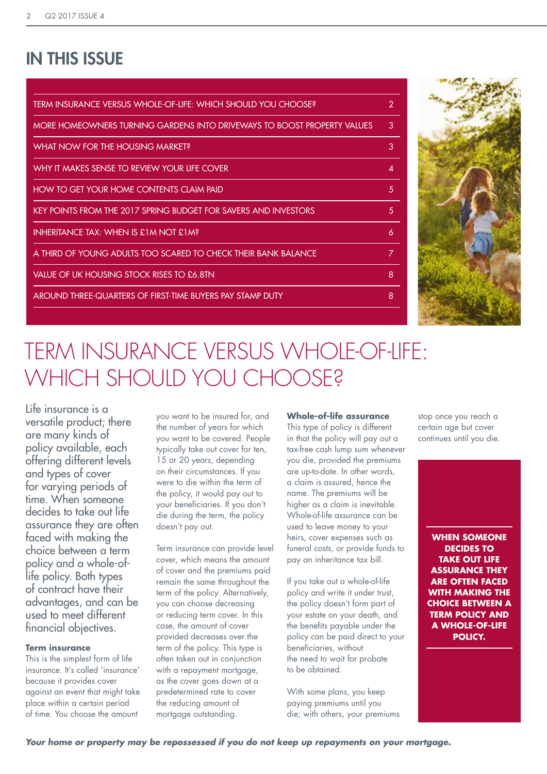### IN THIS ISSUE

| TERM INSURANCE VERSUS WHOLE-OF-LIFE: WHICH SHOULD YOU CHOOSE?           | 2  |
|-------------------------------------------------------------------------|----|
| MORE HOMEOWNERS TURNING GARDENS INTO DRIVEWAYS TO BOOST PROPERTY VALUES | 3  |
| WHAT NOW FOR THE HOUSING MARKET?                                        | 3  |
| WHY IT MAKES SENSE TO REVIEW YOUR LIFE COVER                            | 4  |
| <b>HOW TO GET YOUR HOME CONTENTS CLAIM PAID</b>                         | 5  |
| KEY POINTS FROM THE 2017 SPRING BUDGET FOR SAVERS AND INVESTORS         | 5. |
| <b>INHERITANCE TAX: WHEN IS £1M NOT £1M?</b>                            | 6  |
| A THIRD OF YOUNG ADULTS TOO SCARED TO CHECK THEIR BANK BALANCE          | 7  |
| VALUE OF UK HOUSING STOCK RISES TO £6.8TN                               | 8  |
| AROUND THREE-QUARTERS OF FIRST-TIME BUYERS PAY STAMP DUTY               | 8  |
|                                                                         |    |



# TERM INSURANCE VERSUS WHOLE-OF-LIFE: WHICH SHOULD YOU CHOOSE?

Life insurance is a versatile product; there are many kinds of policy available, each offering different levels and types of cover for varying periods of time. When someone decides to take out life assurance they are often faced with making the choice between a term policy and a whole-oflife policy. Both types of contract have their advantages, and can be used to meet different financial objectives.

#### **Term insurance**

This is the simplest form of life insurance. It's called 'insurance' because it provides cover against an event that might take place within a certain period of time. You choose the amount

you want to be insured for, and the number of years for which you want to be covered. People typically take out cover for ten, 15 or 20 years, depending on their circumstances. If you were to die within the term of the policy, it would pay out to your beneficiaries. If you don't die during the term, the policy doesn't pay out.

Term insurance can provide level cover, which means the amount of cover and the premiums paid remain the same throughout the term of the policy. Alternatively, you can choose decreasing or reducing term cover. In this case, the amount of cover provided decreases over the term of the policy. This type is often taken out in conjunction with a repayment mortagae. as the cover goes down at a predetermined rate to cover the reducing amount of mortgage outstanding.

#### **Whole-of-life assurance**

This type of policy is different in that the policy will pay out a tax-free cash lump sum whenever you die, provided the premiums are up-to-date. In other words, a claim is assured, hence the name. The premiums will be higher as a claim is inevitable. Whole-of-life assurance can be used to leave money to your heirs, cover expenses such as funeral costs, or provide funds to pay an inheritance tax bill.

If you take out a whole-of-life policy and write it under trust, the policy doesn't form part of your estate on your death, and the benefits payable under the policy can be paid direct to your beneficiaries, without the need to wait for probate to be obtained.

With some plans, you keep paying premiums until you die; with others, your premiums stop once you reach a certain age but cover continues until you die.

> **WHEN SOMEONE DECIDES TO TAKE OUT LIFE ASSURANCE THEY ARE OFTEN FACED WITH MAKING THE CHOICE BETWEEN A TERM POLICY AND A WHOLE-OF-LIFE POLICY.**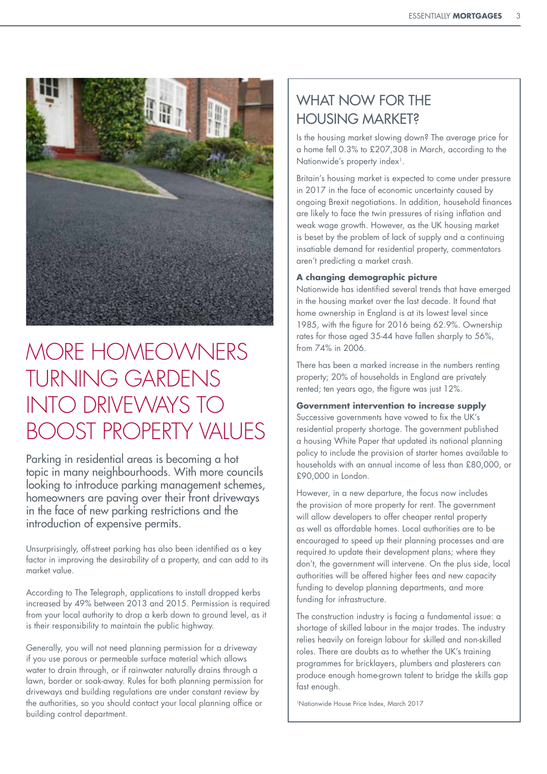

# MORE HOMEOWNERS TURNING GARDENS INTO DRIVEWAYS TO BOOST PROPERTY VALUES

Parking in residential areas is becoming a hot topic in many neighbourhoods. With more councils looking to introduce parking management schemes, homeowners are paving over their front driveways in the face of new parking restrictions and the introduction of expensive permits.

Unsurprisingly, off-street parking has also been identified as a key factor in improving the desirability of a property, and can add to its market value.

According to The Telegraph, applications to install dropped kerbs increased by 49% between 2013 and 2015. Permission is required from your local authority to drop a kerb down to ground level, as it is their responsibility to maintain the public highway.

Generally, you will not need planning permission for a driveway if you use porous or permeable surface material which allows water to drain through, or if rainwater naturally drains through a lawn, border or soak-away. Rules for both planning permission for driveways and building regulations are under constant review by the authorities, so you should contact your local planning office or building control department.

### WHAT NOW FOR THE HOUSING MARKET?

Is the housing market slowing down? The average price for a home fell 0.3% to £207,308 in March, according to the Nationwide's property index<sup>1</sup>.

Britain's housing market is expected to come under pressure in 2017 in the face of economic uncertainty caused by ongoing Brexit negotiations. In addition, household finances are likely to face the twin pressures of rising inflation and weak wage growth. However, as the UK housing market is beset by the problem of lack of supply and a continuing insatiable demand for residential property, commentators aren't predicting a market crash.

#### **A changing demographic picture**

Nationwide has identified several trends that have emerged in the housing market over the last decade. It found that home ownership in England is at its lowest level since 1985, with the figure for 2016 being 62.9%. Ownership rates for those aged 35-44 have fallen sharply to 56%, from 74% in 2006.

There has been a marked increase in the numbers renting property; 20% of households in England are privately rented; ten years ago, the figure was just 12%.

#### **Government intervention to increase supply**

Successive governments have vowed to fix the UK's residential property shortage. The government published a housing White Paper that updated its national planning policy to include the provision of starter homes available to households with an annual income of less than £80,000, or £90,000 in London.

However, in a new departure, the focus now includes the provision of more property for rent. The government will allow developers to offer cheaper rental property as well as affordable homes. Local authorities are to be encouraged to speed up their planning processes and are required to update their development plans; where they don't, the government will intervene. On the plus side, local authorities will be offered higher fees and new capacity funding to develop planning departments, and more funding for infrastructure.

The construction industry is facing a fundamental issue: a shortage of skilled labour in the major trades. The industry relies heavily on foreign labour for skilled and non-skilled roles. There are doubts as to whether the UK's training programmes for bricklayers, plumbers and plasterers can produce enough home-grown talent to bridge the skills gap fast enough.

1Nationwide House Price Index, March 2017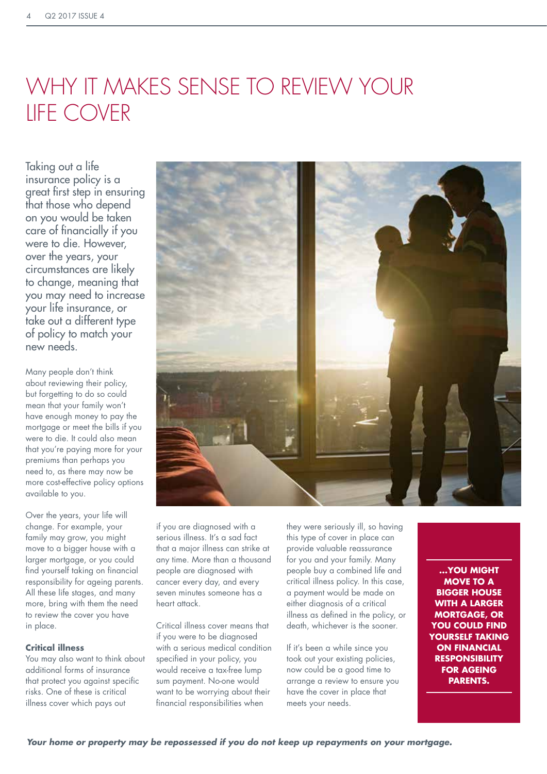# WHY IT MAKES SENSE TO REVIEW YOUR LIFE COVER

Taking out a life insurance policy is a great first step in ensuring that those who depend on you would be taken care of financially if you were to die. However, over the years, your circumstances are likely to change, meaning that you may need to increase your life insurance, or take out a different type of policy to match your new needs.

Many people don't think about reviewing their policy, but forgetting to do so could mean that your family won't have enough money to pay the mortgage or meet the bills if you were to die. It could also mean that you're paying more for your premiums than perhaps you need to, as there may now be more cost-effective policy options available to you.

Over the years, your life will change. For example, your family may grow, you might move to a bigger house with a larger mortgage, or you could find yourself taking on financial responsibility for ageing parents. All these life stages, and many more, bring with them the need to review the cover you have in place.

#### **Critical illness**

You may also want to think about additional forms of insurance that protect you against specific risks. One of these is critical illness cover which pays out



if you are diagnosed with a serious illness. It's a sad fact that a major illness can strike at any time. More than a thousand people are diagnosed with cancer every day, and every seven minutes someone has a heart attack.

Critical illness cover means that if you were to be diagnosed with a serious medical condition specified in your policy, you would receive a tax-free lump sum payment. No-one would want to be worrying about their financial responsibilities when

they were seriously ill, so having this type of cover in place can provide valuable reassurance for you and your family. Many people buy a combined life and critical illness policy. In this case, a payment would be made on either diagnosis of a critical illness as defined in the policy, or death, whichever is the sooner.

If it's been a while since you took out your existing policies, now could be a good time to arrange a review to ensure you have the cover in place that meets your needs.

**...YOU MIGHT MOVE TO A BIGGER HOUSE WITH A LARGER MORTGAGE, OR YOU COULD FIND YOURSELF TAKING ON FINANCIAL RESPONSIBILITY FOR AGEING PARENTS.**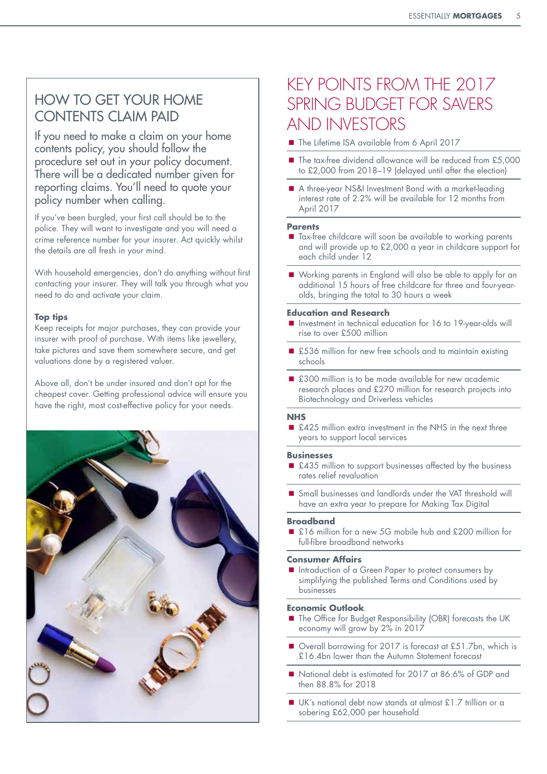### HOW TO GET YOUR HOME CONTENTS CLAIM PAID

If you need to make a claim on your home contents policy, you should follow the procedure set out in your policy document. There will be a dedicated number given for reporting claims. You'll need to quote your policy number when calling.

If you've been burgled, your first call should be to the police. They will want to investigate and you will need a crime reference number for your insurer. Act quickly whilst the details are all fresh in your mind.

With household emergencies, don't do anything without first contacting your insurer. They will talk you through what you need to do and activate your claim.

#### **Top tips**

Keep receipts for major purchases, they can provide your insurer with proof of purchase. With items like jewellery, take pictures and save them somewhere secure, and get valuations done by a registered valuer.

Above all, don't be under insured and don't opt for the cheapest cover. Getting professional advice will ensure you have the right, most cost-effective policy for your needs.



### KEY POINTS FROM THE 2017 SPRING BUDGET FOR SAVERS AND INVESTORS

- The Lifetime ISA available from 6 April 2017
- The tax-free dividend allowance will be reduced from £5,000 to £2,000 from 2018–19 (delayed until after the election)
- A three-year NS&I Investment Bond with a market-leading interest rate of 2.2% will be available for 12 months from April 2017

#### **Parents**

- Tax-free childcare will soon be available to working parents and will provide up to £2,000 a year in childcare support for each child under 12
- Working parents in England will also be able to apply for an additional 15 hours of free childcare for three and four-yearolds, bringing the total to 30 hours a week

#### **Education and Research**

- Investment in technical education for 16 to 19-year-olds will rise to over £500 million
- £536 million for new free schools and to maintain existing schools
- £300 million is to be made available for new academic research places and £270 million for research projects into Biotechnology and Driverless vehicles

#### **NHS**

■ £425 million extra investment in the NHS in the next three years to support local services

#### **Businesses**

- £435 million to support businesses affected by the business rates relief revaluation
- Small businesses and landlords under the VAT threshold will have an extra year to prepare for Making Tax Digital

#### **Broadband**

■ £16 million for a new 5G mobile hub and £200 million for full-fibre broadband networks

#### **Consumer Affairs**

Introduction of a Green Paper to protect consumers by simplifying the published Terms and Conditions used by businesses

#### **Economic Outlook**

- The Office for Budget Responsibility (OBR) forecasts the UK economy will grow by 2% in 2017
- Overall borrowing for 2017 is forecast at £51.7bn, which is £16.4bn lower than the Autumn Statement forecast
- National debt is estimated for 2017 at 86.6% of GDP and then 88.8% for 2018
- UK's national debt now stands at almost £1.7 trillion or a sobering £62,000 per household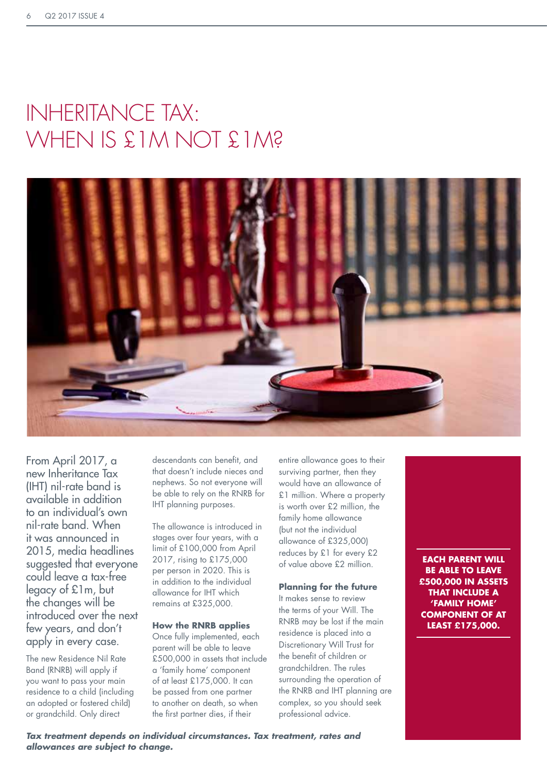# INHERITANCE TAX: WHEN IS £1M NOT £1M?



From April 2017, a new Inheritance Tax (IHT) nil-rate band is available in addition to an individual's own nil-rate band. When it was announced in 2015, media headlines suggested that everyone could leave a tax-free legacy of £1m, but the changes will be introduced over the next few years, and don't apply in every case.

The new Residence Nil Rate Band (RNRB) will apply if you want to pass your main residence to a child (including an adopted or fostered child) or grandchild. Only direct

descendants can benefit, and that doesn't include nieces and nephews. So not everyone will be able to rely on the RNRB for IHT planning purposes.

The allowance is introduced in stages over four years, with a limit of £100,000 from April 2017, rising to £175,000 per person in 2020. This is in addition to the individual allowance for IHT which remains at £325,000.

#### **How the RNRB applies**

Once fully implemented, each parent will be able to leave £500,000 in assets that include a 'family home' component of at least £175,000. It can be passed from one partner to another on death, so when the first partner dies, if their

entire allowance goes to their surviving partner, then they would have an allowance of £1 million. Where a property is worth over £2 million, the family home allowance (but not the individual allowance of £325,000) reduces by £1 for every £2 of value above £2 million.

#### **Planning for the future**

It makes sense to review the terms of your Will. The RNRB may be lost if the main residence is placed into a Discretionary Will Trust for the benefit of children or grandchildren. The rules surrounding the operation of the RNRB and IHT planning are complex, so you should seek professional advice.

**EACH PARENT WILL BE ABLE TO LEAVE £500,000 IN ASSETS THAT INCLUDE A 'FAMILY HOME' COMPONENT OF AT LEAST £175,000.** 

*Tax treatment depends on individual circumstances. Tax treatment, rates and allowances are subject to change.*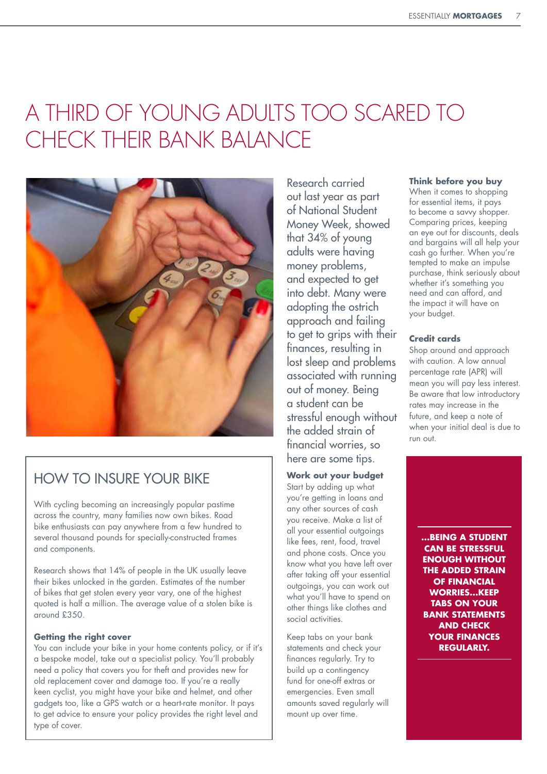# A THIRD OF YOUNG ADULTS TOO SCARED TO CHECK THEIR BANK BALANCE



### HOW TO INSURE YOUR BIKE

With cycling becoming an increasingly popular pastime across the country, many families now own bikes. Road bike enthusiasts can pay anywhere from a few hundred to several thousand pounds for specially-constructed frames and components.

Research shows that 14% of people in the UK usually leave their bikes unlocked in the garden. Estimates of the number of bikes that get stolen every year vary, one of the highest quoted is half a million. The average value of a stolen bike is around £350.

#### **Getting the right cover**

You can include your bike in your home contents policy, or if it's a bespoke model, take out a specialist policy. You'll probably need a policy that covers you for theft and provides new for old replacement cover and damage too. If you're a really keen cyclist, you might have your bike and helmet, and other gadgets too, like a GPS watch or a heart-rate monitor. It pays to get advice to ensure your policy provides the right level and type of cover.

Research carried out last year as part of National Student Money Week, showed that 34% of young adults were having money problems, and expected to get into debt. Many were adopting the ostrich approach and failing to get to grips with their finances, resulting in lost sleep and problems associated with running out of money. Being a student can be stressful enough without the added strain of financial worries, so here are some tips.

#### **Work out your budget**

Start by adding up what you're getting in loans and any other sources of cash you receive. Make a list of all your essential outgoings like fees, rent, food, travel and phone costs. Once you know what you have left over after taking off your essential outgoings, you can work out what you'll have to spend on other things like clothes and social activities.

Keep tabs on your bank statements and check your finances regularly. Try to build up a contingency fund for one-off extras or emergencies. Even small amounts saved regularly will mount up over time.

#### **Think before you buy**

When it comes to shopping for essential items, it pays to become a savvy shopper. Comparing prices, keeping an eye out for discounts, deals and bargains will all help your cash go further. When you're tempted to make an impulse purchase, think seriously about whether it's something you need and can afford, and the impact it will have on your budget.

#### **Credit cards**

Shop around and approach with caution. A low annual percentage rate (APR) will mean you will pay less interest. Be aware that low introductory rates may increase in the future, and keep a note of when your initial deal is due to run out.

> **...BEING A STUDENT CAN BE STRESSFUL ENOUGH WITHOUT THE ADDED STRAIN OF FINANCIAL WORRIES...KEEP TABS ON YOUR BANK STATEMENTS AND CHECK YOUR FINANCES REGULARLY.**